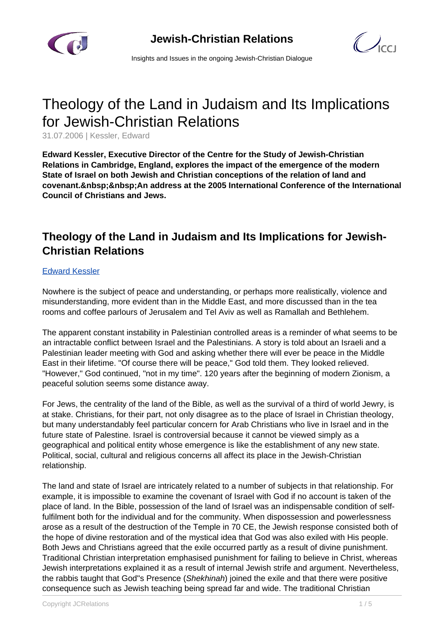

 $\mathcal{C}$ 

Insights and Issues in the ongoing Jewish-Christian Dialogue

## Theology of the Land in Judaism and Its Implications for Jewish-Christian Relations

31.07.2006 | Kessler, Edward

**Edward Kessler, Executive Director of the Centre for the Study of Jewish-Christian Relations in Cambridge, England, explores the impact of the emergence of the modern State of Israel on both Jewish and Christian conceptions of the relation of land and covenant. An address at the 2005 International Conference of the International Council of Christians and Jews.**

## **Theology of the Land in Judaism and Its Implications for Jewish-Christian Relations**

## [Edward Kessler](/de/artikelansicht.html?item=1517&cHash=cd9126037c4669d660633f10a9496517)

Nowhere is the subject of peace and understanding, or perhaps more realistically, violence and misunderstanding, more evident than in the Middle East, and more discussed than in the tea rooms and coffee parlours of Jerusalem and Tel Aviv as well as Ramallah and Bethlehem.

The apparent constant instability in Palestinian controlled areas is a reminder of what seems to be an intractable conflict between Israel and the Palestinians. A story is told about an Israeli and a Palestinian leader meeting with God and asking whether there will ever be peace in the Middle East in their lifetime. "Of course there will be peace," God told them. They looked relieved. "However," God continued, "not in my time". 120 years after the beginning of modern Zionism, a peaceful solution seems some distance away.

For Jews, the centrality of the land of the Bible, as well as the survival of a third of world Jewry, is at stake. Christians, for their part, not only disagree as to the place of Israel in Christian theology, but many understandably feel particular concern for Arab Christians who live in Israel and in the future state of Palestine. Israel is controversial because it cannot be viewed simply as a geographical and political entity whose emergence is like the establishment of any new state. Political, social, cultural and religious concerns all affect its place in the Jewish-Christian relationship.

The land and state of Israel are intricately related to a number of subjects in that relationship. For example, it is impossible to examine the covenant of Israel with God if no account is taken of the place of land. In the Bible, possession of the land of Israel was an indispensable condition of selffulfilment both for the individual and for the community. When dispossession and powerlessness arose as a result of the destruction of the Temple in 70 CE, the Jewish response consisted both of the hope of divine restoration and of the mystical idea that God was also exiled with His people. Both Jews and Christians agreed that the exile occurred partly as a result of divine punishment. Traditional Christian interpretation emphasised punishment for failing to believe in Christ, whereas Jewish interpretations explained it as a result of internal Jewish strife and argument. Nevertheless, the rabbis taught that God"s Presence (Shekhinah) joined the exile and that there were positive consequence such as Jewish teaching being spread far and wide. The traditional Christian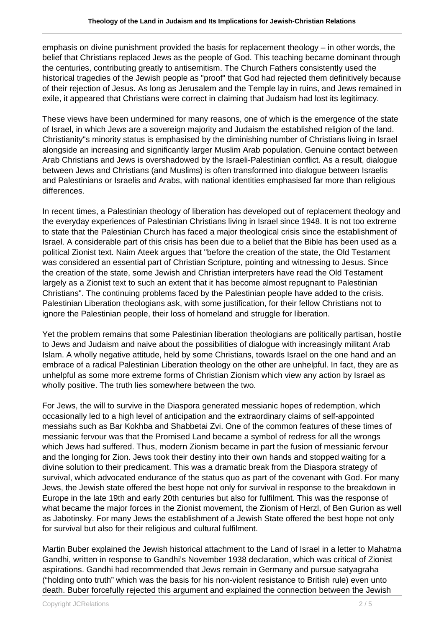emphasis on divine punishment provided the basis for replacement theology – in other words, the belief that Christians replaced Jews as the people of God. This teaching became dominant through the centuries, contributing greatly to antisemitism. The Church Fathers consistently used the historical tragedies of the Jewish people as "proof" that God had rejected them definitively because of their rejection of Jesus. As long as Jerusalem and the Temple lay in ruins, and Jews remained in exile, it appeared that Christians were correct in claiming that Judaism had lost its legitimacy.

These views have been undermined for many reasons, one of which is the emergence of the state of Israel, in which Jews are a sovereign majority and Judaism the established religion of the land. Christianity"s minority status is emphasised by the diminishing number of Christians living in Israel alongside an increasing and significantly larger Muslim Arab population. Genuine contact between Arab Christians and Jews is overshadowed by the Israeli-Palestinian conflict. As a result, dialogue between Jews and Christians (and Muslims) is often transformed into dialogue between Israelis and Palestinians or Israelis and Arabs, with national identities emphasised far more than religious differences.

In recent times, a Palestinian theology of liberation has developed out of replacement theology and the everyday experiences of Palestinian Christians living in Israel since 1948. It is not too extreme to state that the Palestinian Church has faced a major theological crisis since the establishment of Israel. A considerable part of this crisis has been due to a belief that the Bible has been used as a political Zionist text. Naim Ateek argues that "before the creation of the state, the Old Testament was considered an essential part of Christian Scripture, pointing and witnessing to Jesus. Since the creation of the state, some Jewish and Christian interpreters have read the Old Testament largely as a Zionist text to such an extent that it has become almost repugnant to Palestinian Christians". The continuing problems faced by the Palestinian people have added to the crisis. Palestinian Liberation theologians ask, with some justification, for their fellow Christians not to ignore the Palestinian people, their loss of homeland and struggle for liberation.

Yet the problem remains that some Palestinian liberation theologians are politically partisan, hostile to Jews and Judaism and naive about the possibilities of dialogue with increasingly militant Arab Islam. A wholly negative attitude, held by some Christians, towards Israel on the one hand and an embrace of a radical Palestinian Liberation theology on the other are unhelpful. In fact, they are as unhelpful as some more extreme forms of Christian Zionism which view any action by Israel as wholly positive. The truth lies somewhere between the two.

For Jews, the will to survive in the Diaspora generated messianic hopes of redemption, which occasionally led to a high level of anticipation and the extraordinary claims of self-appointed messiahs such as Bar Kokhba and Shabbetai Zvi. One of the common features of these times of messianic fervour was that the Promised Land became a symbol of redress for all the wrongs which Jews had suffered. Thus, modern Zionism became in part the fusion of messianic fervour and the longing for Zion. Jews took their destiny into their own hands and stopped waiting for a divine solution to their predicament. This was a dramatic break from the Diaspora strategy of survival, which advocated endurance of the status quo as part of the covenant with God. For many Jews, the Jewish state offered the best hope not only for survival in response to the breakdown in Europe in the late 19th and early 20th centuries but also for fulfilment. This was the response of what became the major forces in the Zionist movement, the Zionism of Herzl, of Ben Gurion as well as Jabotinsky. For many Jews the establishment of a Jewish State offered the best hope not only for survival but also for their religious and cultural fulfilment.

Martin Buber explained the Jewish historical attachment to the Land of Israel in a letter to Mahatma Gandhi, written in response to Gandhi's November 1938 declaration, which was critical of Zionist aspirations. Gandhi had recommended that Jews remain in Germany and pursue satyagraha ("holding onto truth" which was the basis for his non-violent resistance to British rule) even unto death. Buber forcefully rejected this argument and explained the connection between the Jewish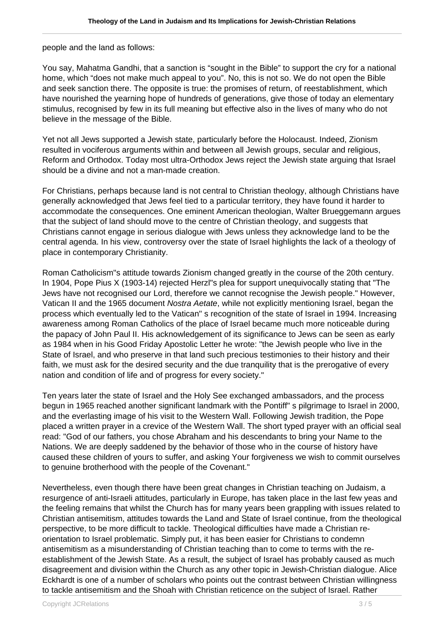people and the land as follows:

You say, Mahatma Gandhi, that a sanction is "sought in the Bible" to support the cry for a national home, which "does not make much appeal to you". No, this is not so. We do not open the Bible and seek sanction there. The opposite is true: the promises of return, of reestablishment, which have nourished the yearning hope of hundreds of generations, give those of today an elementary stimulus, recognised by few in its full meaning but effective also in the lives of many who do not believe in the message of the Bible.

Yet not all Jews supported a Jewish state, particularly before the Holocaust. Indeed, Zionism resulted in vociferous arguments within and between all Jewish groups, secular and religious, Reform and Orthodox. Today most ultra-Orthodox Jews reject the Jewish state arguing that Israel should be a divine and not a man-made creation.

For Christians, perhaps because land is not central to Christian theology, although Christians have generally acknowledged that Jews feel tied to a particular territory, they have found it harder to accommodate the consequences. One eminent American theologian, Walter Brueggemann argues that the subject of land should move to the centre of Christian theology, and suggests that Christians cannot engage in serious dialogue with Jews unless they acknowledge land to be the central agenda. In his view, controversy over the state of Israel highlights the lack of a theology of place in contemporary Christianity.

Roman Catholicism"s attitude towards Zionism changed greatly in the course of the 20th century. In 1904, Pope Pius X (1903-14) rejected Herzl"s plea for support unequivocally stating that "The Jews have not recognised our Lord, therefore we cannot recognise the Jewish people." However, Vatican II and the 1965 document Nostra Aetate, while not explicitly mentioning Israel, began the process which eventually led to the Vatican" s recognition of the state of Israel in 1994. Increasing awareness among Roman Catholics of the place of Israel became much more noticeable during the papacy of John Paul II. His acknowledgement of its significance to Jews can be seen as early as 1984 when in his Good Friday Apostolic Letter he wrote: "the Jewish people who live in the State of Israel, and who preserve in that land such precious testimonies to their history and their faith, we must ask for the desired security and the due tranquility that is the prerogative of every nation and condition of life and of progress for every society."

Ten years later the state of Israel and the Holy See exchanged ambassadors, and the process begun in 1965 reached another significant landmark with the Pontiff" s pilgrimage to Israel in 2000, and the everlasting image of his visit to the Western Wall. Following Jewish tradition, the Pope placed a written prayer in a crevice of the Western Wall. The short typed prayer with an official seal read: "God of our fathers, you chose Abraham and his descendants to bring your Name to the Nations. We are deeply saddened by the behavior of those who in the course of history have caused these children of yours to suffer, and asking Your forgiveness we wish to commit ourselves to genuine brotherhood with the people of the Covenant."

Nevertheless, even though there have been great changes in Christian teaching on Judaism, a resurgence of anti-Israeli attitudes, particularly in Europe, has taken place in the last few yeas and the feeling remains that whilst the Church has for many years been grappling with issues related to Christian antisemitism, attitudes towards the Land and State of Israel continue, from the theological perspective, to be more difficult to tackle. Theological difficulties have made a Christian reorientation to Israel problematic. Simply put, it has been easier for Christians to condemn antisemitism as a misunderstanding of Christian teaching than to come to terms with the reestablishment of the Jewish State. As a result, the subject of Israel has probably caused as much disagreement and division within the Church as any other topic in Jewish-Christian dialogue. Alice Eckhardt is one of a number of scholars who points out the contrast between Christian willingness to tackle antisemitism and the Shoah with Christian reticence on the subject of Israel. Rather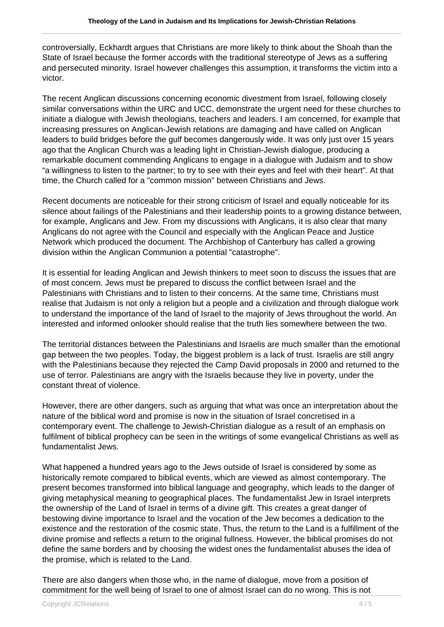controversially, Eckhardt argues that Christians are more likely to think about the Shoah than the State of Israel because the former accords with the traditional stereotype of Jews as a suffering and persecuted minority. Israel however challenges this assumption, it transforms the victim into a victor.

The recent Anglican discussions concerning economic divestment from Israel, following closely similar conversations within the URC and UCC, demonstrate the urgent need for these churches to initiate a dialogue with Jewish theologians, teachers and leaders. I am concerned, for example that increasing pressures on Anglican-Jewish relations are damaging and have called on Anglican leaders to build bridges before the gulf becomes dangerously wide. It was only just over 15 years ago that the Anglican Church was a leading light in Christian-Jewish dialogue, producing a remarkable document commending Anglicans to engage in a dialogue with Judaism and to show "a willingness to listen to the partner; to try to see with their eyes and feel with their heart". At that time, the Church called for a "common mission" between Christians and Jews.

Recent documents are noticeable for their strong criticism of Israel and equally noticeable for its silence about failings of the Palestinians and their leadership points to a growing distance between, for example, Anglicans and Jew. From my discussions with Anglicans, it is also clear that many Anglicans do not agree with the Council and especially with the Anglican Peace and Justice Network which produced the document. The Archbishop of Canterbury has called a growing division within the Anglican Communion a potential "catastrophe".

It is essential for leading Anglican and Jewish thinkers to meet soon to discuss the issues that are of most concern. Jews must be prepared to discuss the conflict between Israel and the Palestinians with Christians and to listen to their concerns. At the same time, Christians must realise that Judaism is not only a religion but a people and a civilization and through dialogue work to understand the importance of the land of Israel to the majority of Jews throughout the world. An interested and informed onlooker should realise that the truth lies somewhere between the two.

The territorial distances between the Palestinians and Israelis are much smaller than the emotional gap between the two peoples. Today, the biggest problem is a lack of trust. Israelis are still angry with the Palestinians because they rejected the Camp David proposals in 2000 and returned to the use of terror. Palestinians are angry with the Israelis because they live in poverty, under the constant threat of violence.

However, there are other dangers, such as arguing that what was once an interpretation about the nature of the biblical word and promise is now in the situation of Israel concretised in a contemporary event. The challenge to Jewish-Christian dialogue as a result of an emphasis on fulfilment of biblical prophecy can be seen in the writings of some evangelical Christians as well as fundamentalist Jews.

What happened a hundred years ago to the Jews outside of Israel is considered by some as historically remote compared to biblical events, which are viewed as almost contemporary. The present becomes transformed into biblical language and geography, which leads to the danger of giving metaphysical meaning to geographical places. The fundamentalist Jew in Israel interprets the ownership of the Land of Israel in terms of a divine gift. This creates a great danger of bestowing divine importance to Israel and the vocation of the Jew becomes a dedication to the existence and the restoration of the cosmic state. Thus, the return to the Land is a fulfillment of the divine promise and reflects a return to the original fullness. However, the biblical promises do not define the same borders and by choosing the widest ones the fundamentalist abuses the idea of the promise, which is related to the Land.

There are also dangers when those who, in the name of dialogue, move from a position of commitment for the well being of Israel to one of almost Israel can do no wrong. This is not